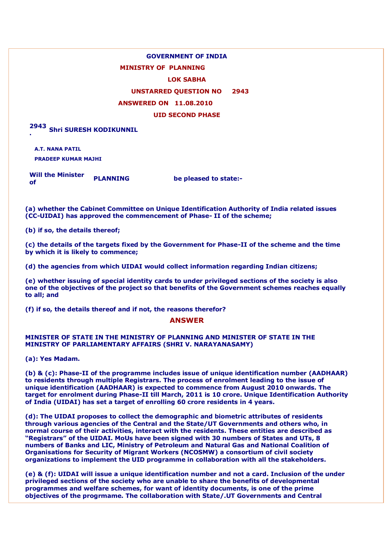# **GOVERNMENT OF INDIA**

# **MINISTRY OF PLANNING**

### **LOK SABHA**

# **UNSTARRED QUESTION NO 2943**

### **ANSWERED ON 11.08.2010**

### **UID SECOND PHASE**

**2943 . Shri SURESH KODIKUNNIL**

**A.T. NANA PATIL PRADEEP KUMAR MAJHI**

**Will the Minister of PLANNING be pleased to state:-**

**(a) whether the Cabinet Committee on Unique Identification Authority of India related issues (CC-UIDAI) has approved the commencement of Phase- II of the scheme;**

**(b) if so, the details thereof;**

**(c) the details of the targets fixed by the Government for Phase-II of the scheme and the time by which it is likely to commence;**

**(d) the agencies from which UIDAI would collect information regarding Indian citizens;**

**(e) whether issuing of special identity cards to under privileged sections of the society is also one of the objectives of the project so that benefits of the Government schemes reaches equally to all; and**

**(f) if so, the details thereof and if not, the reasons therefor?**

#### **ANSWER**

### **MINISTER OF STATE IN THE MINISTRY OF PLANNING AND MINISTER OF STATE IN THE MINISTRY OF PARLIAMENTARY AFFAIRS (SHRI V. NARAYANASAMY)**

**(a): Yes Madam.**

**(b) & (c): Phase-II of the programme includes issue of unique identification number (AADHAAR) to residents through multiple Registrars. The process of enrolment leading to the issue of unique identification (AADHAAR) is expected to commence from August 2010 onwards. The target for enrolment during Phase-II till March, 2011 is 10 crore. Unique Identification Authority of India (UIDAI) has set a target of enrolling 60 crore residents in 4 years.**

**(d): The UIDAI proposes to collect the demographic and biometric attributes of residents through various agencies of the Central and the State/UT Governments and others who, in normal course of their activities, interact with the residents. These entities are described as "Registrars" of the UIDAI. MoUs have been signed with 30 numbers of States and UTs, 8 numbers of Banks and LIC, Ministry of Petroleum and Natural Gas and National Coalition of Organisations for Security of Migrant Workers (NCOSMW) a consortium of civil society organizations to implement the UID programme in collaboration with all the stakeholders.**

**(e) & (f): UIDAI will issue a unique identification number and not a card. Inclusion of the under privileged sections of the society who are unable to share the benefits of developmental programmes and welfare schemes, for want of identity documents, is one of the prime objectives of the progrmame. The collaboration with State/.UT Governments and Central**